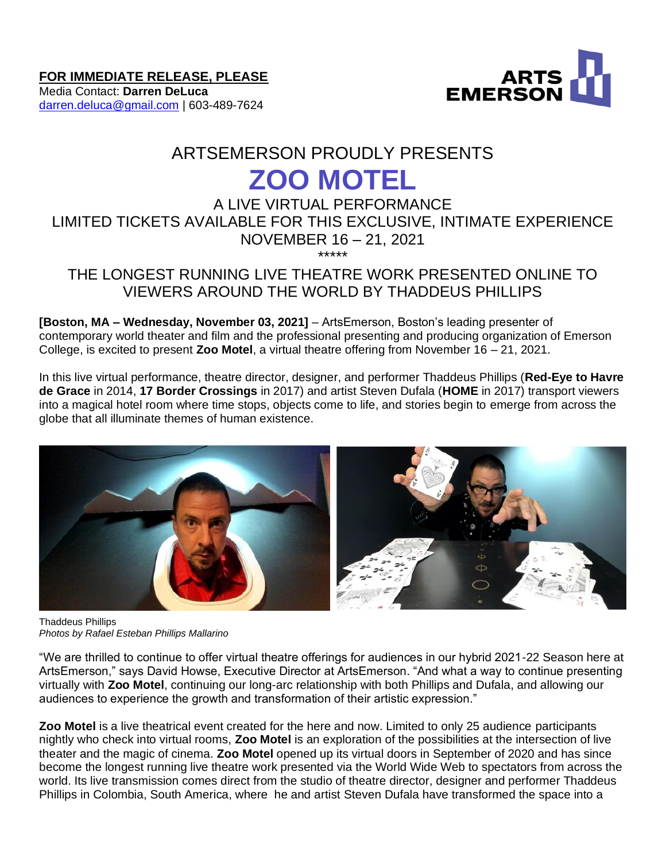

**FOR IMMEDIATE RELEASE, PLEASE**

Media Contact: **Darren DeLuca** [darren.deluca@gmail.com](mailto:darren.deluca@gmail.com) | 603-489-7624

# ARTSEMERSON PROUDLY PRESENTS **ZOO MOTEL**

# A LIVE VIRTUAL PERFORMANCE LIMITED TICKETS AVAILABLE FOR THIS EXCLUSIVE, INTIMATE EXPERIENCE NOVEMBER 16 – 21, 2021 \*\*\*\*\*

# THE LONGEST RUNNING LIVE THEATRE WORK PRESENTED ONLINE TO VIEWERS AROUND THE WORLD BY THADDEUS PHILLIPS

**[Boston, MA – Wednesday, November 03, 2021]** – ArtsEmerson, Boston's leading presenter of contemporary world theater and film and the professional presenting and producing organization of Emerson College, is excited to present **Zoo Motel**, a virtual theatre offering from November 16 – 21, 2021.

In this live virtual performance, theatre director, designer, and performer Thaddeus Phillips (**Red-Eye to Havre de Grace** in 2014, **17 Border Crossings** in 2017) and artist Steven Dufala (**HOME** in 2017) transport viewers into a magical hotel room where time stops, objects come to life, and stories begin to emerge from across the globe that all illuminate themes of human existence.



Thaddeus Phillips *Photos by Rafael Esteban Phillips Mallarino*

"We are thrilled to continue to offer virtual theatre offerings for audiences in our hybrid 2021-22 Season here at ArtsEmerson," says David Howse, Executive Director at ArtsEmerson. "And what a way to continue presenting virtually with **Zoo Motel**, continuing our long-arc relationship with both Phillips and Dufala, and allowing our audiences to experience the growth and transformation of their artistic expression."

**Zoo Motel** is a live theatrical event created for the here and now. Limited to only 25 audience participants nightly who check into virtual rooms, **Zoo Motel** is an exploration of the possibilities at the intersection of live theater and the magic of cinema. **Zoo Motel** opened up its virtual doors in September of 2020 and has since become the longest running live theatre work presented via the World Wide Web to spectators from across the world. Its live transmission comes direct from the studio of theatre director, designer and performer Thaddeus Phillips in Colombia, South America, where he and artist Steven Dufala have transformed the space into a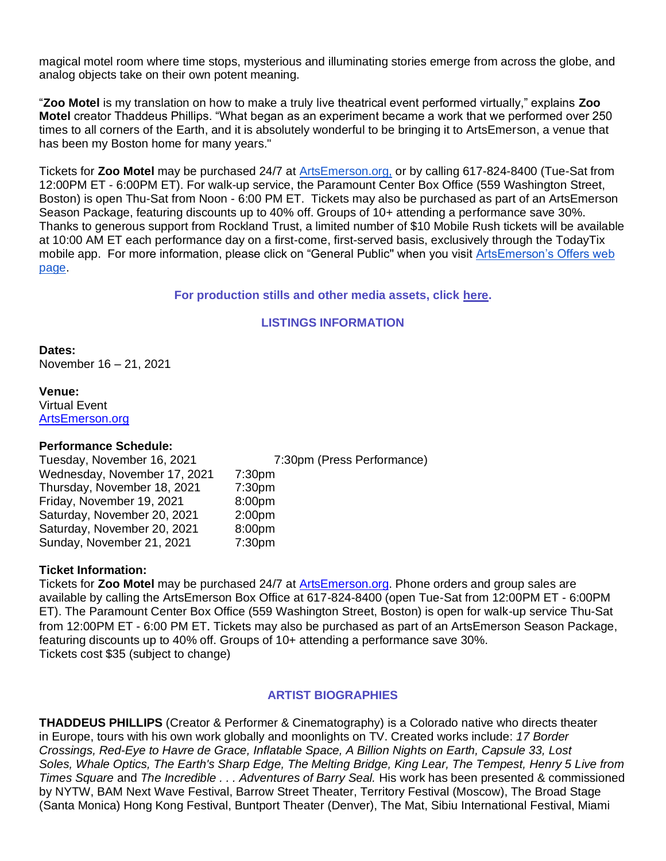magical motel room where time stops, mysterious and illuminating stories emerge from across the globe, and analog objects take on their own potent meaning.

"**Zoo Motel** is my translation on how to make a truly live theatrical event performed virtually," explains **Zoo Motel** creator Thaddeus Phillips. "What began as an experiment became a work that we performed over 250 times to all corners of the Earth, and it is absolutely wonderful to be bringing it to ArtsEmerson, a venue that has been my Boston home for many years."

Tickets for **Zoo Motel** may be purchased 24/7 at [ArtsEmerson.org,](https://artsemerson.org/events/iphigenia/) or by calling 617-824-8400 (Tue-Sat from 12:00PM ET - 6:00PM ET). For walk-up service, the Paramount Center Box Office (559 Washington Street, Boston) is open Thu-Sat from Noon - 6:00 PM ET. Tickets may also be purchased as part of an ArtsEmerson Season Package, featuring discounts up to 40% off. Groups of 10+ attending a performance save 30%. Thanks to generous support from Rockland Trust, a limited number of \$10 Mobile Rush tickets will be available at 10:00 AM ET each performance day on a first-come, first-served basis, exclusively through the TodayTix mobile app. For more information, please click on "General Public'' when you visit [ArtsEmerson's Offers web](https://artsemerson.org/packages-offers/offers/)  [page.](https://artsemerson.org/packages-offers/offers/)

#### **For production stills and other media assets, click [here.](https://public.boxcloud.com/d/1/b1!Hv0b3KWoebm_r1stHFckGcw8NBIhcAq8PzDlflGW8bKtvkukznz2POU5R6MYxN70WIm4AxJgYUigN7sqKkeHRvwMrKVNb9w-PSLynq9lRGB3_uYcVQ5rkRjsNgM5cDBxvFlptzjaCuljBRyfZHiUzE14svVE48uOLem2htIZNjzdFmoSlLF0EMQVdABQDgQmIvTTidB3-0RKquaHkPm_ihkLrZffXJlJKv6VDgFdEMmymNUvrjbqrH3AglM3D6D4sMlqxx4hlCmlwYPh3GF4bDiK0_g6DffvwRTRo7uaozGK3B1EMGVBXaeGAuGXDioEHcpaymdUbPx0SnezOMIv4U7-v2iGuN-i1TripAQVEAmPeJPVG7bzSL9RWgD6Pbr763IxCJ8pLm3_ZbKbhdCtXWO0vUZ2QUKmZRFOcYGXkA79embCBtSsWzSNlIKOBle4HMkQQ2H7Ktdr8IT1t9iPJRV-Txif6DmUXQgKXdIibz4DeoKc1CTDvF1f4r6dTM6huFJBBUkxP88BXQ16XSIqnFa3kWnw4Gk9EubnV74wqZCztKuQHQ3yFyUju3lXxnbuHwgr7IQfqqsWIpcWJXWRRQdfugRXXg3Z0-G93hO6h3PQK9w7vuVzXtooUSd4nHaXjU8wM1YmFd6J8_3U45V6GGSm3xMJDShPYtJX8gUxHt3NyCCMV2c7h1UYMLScsYGWFpmRVsi7NhVmMPN4u-kR92fkGmjMtFNkJtsLS6JHwmOVc6EFBYznMZADP5UVOf7ySgybnkk3qKrRMVmvSfvQ8Jz1TCMaYoGJkzdJ_yJjoSf8iLWfY-SKnYIiM6J-NVu1Lh9IhhpLC_QaFFiBzMuNIlRt4RpkEPqCitnCsysm2hCjD9tvqZry-WSLzvIgZY7YsT-ljqERWsoLAwFe2VsrjUjhCyeEEXCFNB0vD4th8FoxQSlAMdPGs0_ypZT7AzUi7610Qyc-xURtYs59cxiIMIe9p-oGGrLVVMyVvLHHHF5G8MJTLFtOGQdL1BVOkBxYPa0hlDjt14jqIC3mYTiHUpltTZOHiw8BoJGKmylMj4cNuvneQXbE96-np6cJ321uFjZ9lmkgk7XsvmJekflvqK4MNeYwPkuLGdDH6ECjPj5elMdVWdS3OA98TmOvf0sOIkudPJKMrlZRCdk_y2p65bpiEf3r8euRJSeB-iaMKUCamVEyqT6TBfvCi9M2sSK8S7iRT8vYsUBQcJdNaY9X968oL-cp0PXShIOTty47V-KGMU24icCN_X6jccS0FzaqrsD4EJ541BIqILPk9-Qa-xzHzClnKMnqoj2KjqrQo9xFCpejfvz09uSYvyGLSs_SBDFd21zsL3udpulQjWPkCgWlN4FjADYLqGJ7_oe4LWCOfseVoBdKZSaouu5BAxhTca268npV9yAh8chxzqig_S5x/download)**

#### **LISTINGS INFORMATION**

**Dates:** November 16 – 21, 2021

**Venue:** Virtual Event [ArtsEmerson.org](http://artsemerson.org/)

#### **Performance Schedule:**

Tuesday, November 16, 2021 7:30pm (Press Performance) Wednesday, November 17, 2021 7:30pm Thursday, November 18, 2021 7:30pm Friday, November 19, 2021 8:00pm Saturday, November 20, 2021 2:00pm Saturday, November 20, 2021 8:00pm Sunday, November 21, 2021 7:30pm

#### **Ticket Information:**

Tickets for **Zoo Motel** may be purchased 24/7 at [ArtsEmerson.org.](https://artsemerson.org/Online/default.asp) Phone orders and group sales are available by calling the ArtsEmerson Box Office at 617-824-8400 (open Tue-Sat from 12:00PM ET - 6:00PM ET). The Paramount Center Box Office (559 Washington Street, Boston) is open for walk-up service Thu-Sat from 12:00PM ET - 6:00 PM ET. Tickets may also be purchased as part of an ArtsEmerson Season Package, featuring discounts up to 40% off. Groups of 10+ attending a performance save 30%. Tickets cost \$35 (subject to change)

# **ARTIST BIOGRAPHIES**

**THADDEUS PHILLIPS** (Creator & Performer & Cinematography) is a Colorado native who directs theater in Europe, tours with his own work globally and moonlights on TV. Created works include: *17 Border Crossings, Red-Eye to Havre de Grace, Inflatable Space, A Billion Nights on Earth, Capsule 33, Lost Soles, Whale Optics, The Earth's Sharp Edge, The Melting Bridge, King Lear, The Tempest, Henry 5 Live from Times Square* and *The Incredible . . . Adventures of Barry Seal.* His work has been presented & commissioned by NYTW, BAM Next Wave Festival, Barrow Street Theater, Territory Festival (Moscow), The Broad Stage (Santa Monica) Hong Kong Festival, Buntport Theater (Denver), The Mat, Sibiu International Festival, Miami